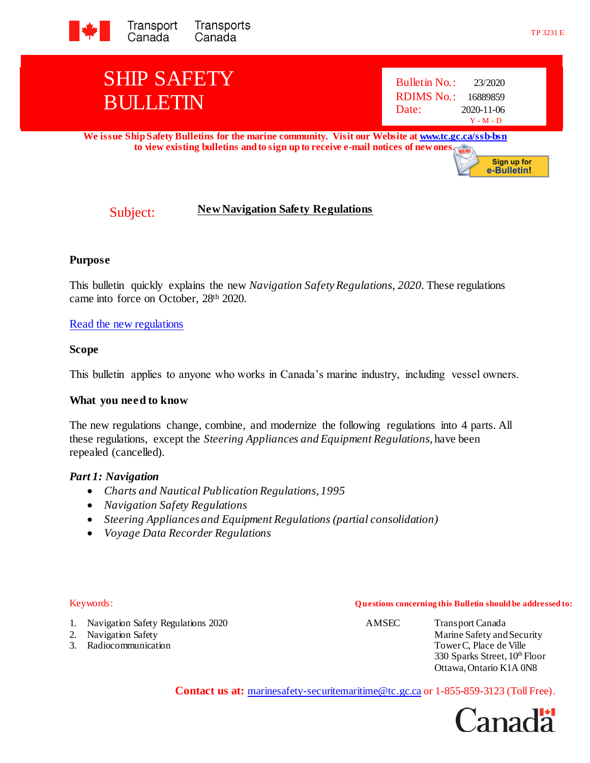

**We issue Ship Safety Bulletins for the marine community. Visit our Website [at www.tc.gc.ca/ssb-bsn](http://www.tc.gc.ca/ssb-bsn)** to view existing bulletins and to sign up to receive e-mail notices of new ones.

# Subject: **New Navigation Safety Regulations**

### **Purpose**

This bulletin quickly explains the new *Navigation Safety Regulations, 2020*. These regulations came into force on October, 28th 2020.

### [Read the new regulations](https://laws-lois.justice.gc.ca/eng/regulations/SOR-2020-216/index.html)

#### **Scope**

This bulletin applies to anyone who works in Canada's marine industry, including vessel owners.

### **What you need to know**

The new regulations change, combine, and modernize the following regulations into 4 parts. All these regulations, except the *Steering Appliances and Equipment Regulations*, have been repealed (cancelled).

#### *Part 1: Navigation*

- *Charts and Nautical Publication Regulations, 1995*
- *Navigation Safety Regulations*
- *Steering Appliances and Equipment Regulations (partial consolidation)*
- *Voyage Data Recorder Regulations*

#### Keywords: **Q uestions concerning this Bulletin should be addressed to:**

1. Navigation Safety Regulations 2020 AMSEC Transport Canada

- 
- 3. Radiocommunication Tower C, Place de Ville

2. Navigation Safety **Marine Safety** Marine Safety and Security 330 Sparks Street,  $10^{th}$  Floor Ottawa, Ontario K1A 0N8

**Contact us at:** [marinesafety-securitemaritime@tc.gc.ca](mailto:marinesafety-securitymaritime@tc.gc.ca) or 1-855-859-3123 (Toll Free).

Canada<sup>r</sup>

**Sign up for** e-Bulletin!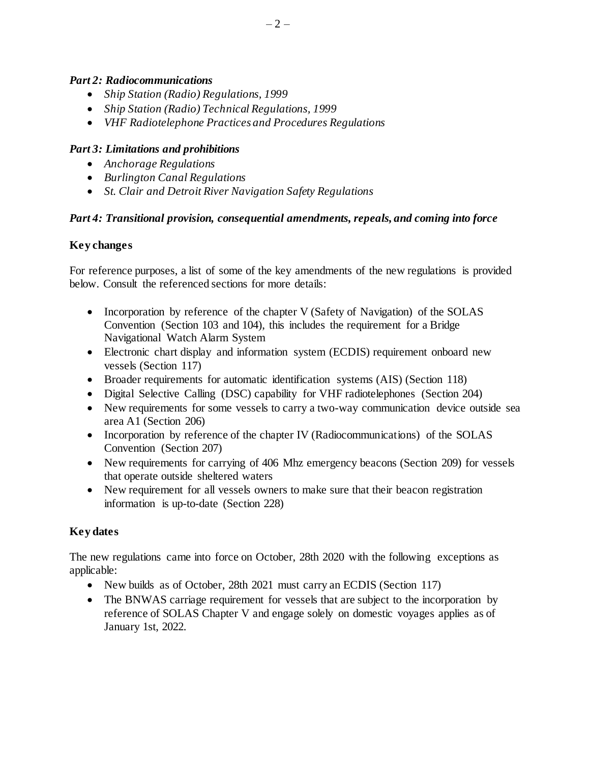## *Part 2: Radiocommunications*

- *Ship Station (Radio) Regulations, 1999*
- *Ship Station (Radio) Technical Regulations, 1999*
- *VHF Radiotelephone Practices and Procedures Regulations*

## *Part 3: Limitations and prohibitions*

- *Anchorage Regulations*
- *Burlington Canal Regulations*
- *St. Clair and Detroit River Navigation Safety Regulations*

## *Part 4: Transitional provision, consequential amendments, repeals, and coming into force*

## **Key changes**

For reference purposes, a list of some of the key amendments of the new regulations is provided below. Consult the referenced sections for more details:

- Incorporation by reference of the chapter V (Safety of Navigation) of the SOLAS Convention (Section 103 and 104), this includes the requirement for a Bridge Navigational Watch Alarm System
- Electronic chart display and information system (ECDIS) requirement onboard new vessels (Section 117)
- Broader requirements for automatic identification systems (AIS) (Section 118)
- Digital Selective Calling (DSC) capability for VHF radiotelephones (Section 204)
- New requirements for some vessels to carry a two-way communication device outside sea area A1 (Section 206)
- Incorporation by reference of the chapter IV (Radiocommunications) of the SOLAS Convention (Section 207)
- New requirements for carrying of 406 Mhz emergency beacons (Section 209) for vessels that operate outside sheltered waters
- New requirement for all vessels owners to make sure that their beacon registration information is up-to-date (Section 228)

## **Key dates**

The new regulations came into force on October, 28th 2020 with the following exceptions as applicable:

- New builds as of October, 28th 2021 must carry an ECDIS (Section 117)
- The BNWAS carriage requirement for vessels that are subject to the incorporation by reference of SOLAS Chapter V and engage solely on domestic voyages applies as of January 1st, 2022.